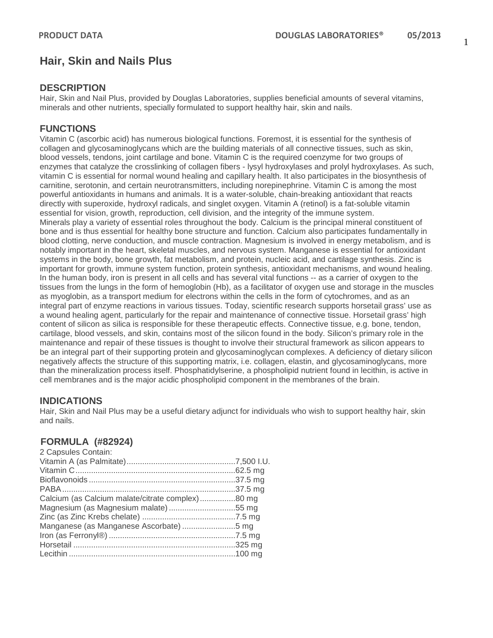# **Hair, Skin and Nails Plus**

# **DESCRIPTION**

Hair, Skin and Nail Plus, provided by Douglas Laboratories, supplies beneficial amounts of several vitamins, minerals and other nutrients, specially formulated to support healthy hair, skin and nails.

# **FUNCTIONS**

Vitamin C (ascorbic acid) has numerous biological functions. Foremost, it is essential for the synthesis of collagen and glycosaminoglycans which are the building materials of all connective tissues, such as skin, blood vessels, tendons, joint cartilage and bone. Vitamin C is the required coenzyme for two groups of enzymes that catalyze the crosslinking of collagen fibers - lysyl hydroxylases and prolyl hydroxylases. As such, vitamin C is essential for normal wound healing and capillary health. It also participates in the biosynthesis of carnitine, serotonin, and certain neurotransmitters, including norepinephrine. Vitamin C is among the most powerful antioxidants in humans and animals. It is a water-soluble, chain-breaking antioxidant that reacts directly with superoxide, hydroxyl radicals, and singlet oxygen. Vitamin A (retinol) is a fat-soluble vitamin essential for vision, growth, reproduction, cell division, and the integrity of the immune system. Minerals play a variety of essential roles throughout the body. Calcium is the principal mineral constituent of bone and is thus essential for healthy bone structure and function. Calcium also participates fundamentally in blood clotting, nerve conduction, and muscle contraction. Magnesium is involved in energy metabolism, and is notably important in the heart, skeletal muscles, and nervous system. Manganese is essential for antioxidant systems in the body, bone growth, fat metabolism, and protein, nucleic acid, and cartilage synthesis. Zinc is important for growth, immune system function, protein synthesis, antioxidant mechanisms, and wound healing. In the human body, iron is present in all cells and has several vital functions -- as a carrier of oxygen to the tissues from the lungs in the form of hemoglobin (Hb), as a facilitator of oxygen use and storage in the muscles as myoglobin, as a transport medium for electrons within the cells in the form of cytochromes, and as an integral part of enzyme reactions in various tissues. Today, scientific research supports horsetail grass' use as a wound healing agent, particularly for the repair and maintenance of connective tissue. Horsetail grass' high content of silicon as silica is responsible for these therapeutic effects. Connective tissue, e.g. bone, tendon, cartilage, blood vessels, and skin, contains most of the silicon found in the body. Silicon's primary role in the maintenance and repair of these tissues is thought to involve their structural framework as silicon appears to be an integral part of their supporting protein and glycosaminoglycan complexes. A deficiency of dietary silicon negatively affects the structure of this supporting matrix, i.e. collagen, elastin, and glycosaminoglycans, more than the mineralization process itself. Phosphatidylserine, a phospholipid nutrient found in lecithin, is active in cell membranes and is the major acidic phospholipid component in the membranes of the brain.

#### **INDICATIONS**

Hair, Skin and Nail Plus may be a useful dietary adjunct for individuals who wish to support healthy hair, skin and nails.

# **FORMULA (#82924)**

| 2 Capsules Contain:                              |  |
|--------------------------------------------------|--|
|                                                  |  |
|                                                  |  |
|                                                  |  |
|                                                  |  |
| Calcium (as Calcium malate/citrate complex)80 mg |  |
|                                                  |  |
|                                                  |  |
| Manganese (as Manganese Ascorbate) 5 mg          |  |
|                                                  |  |
|                                                  |  |
|                                                  |  |